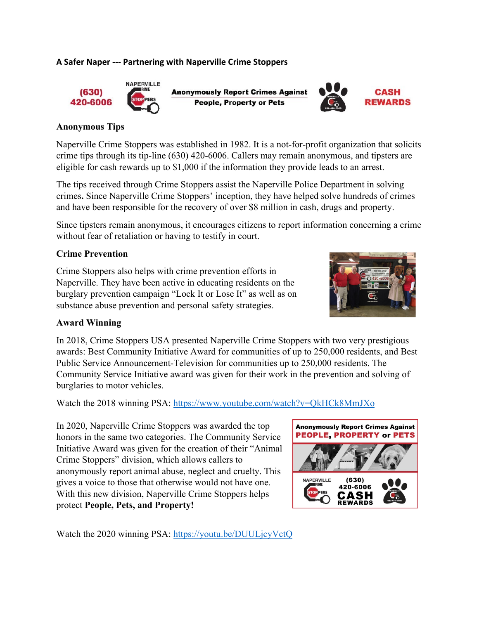## **A Safer Naper ‐‐‐ Partnering with Naperville Crime Stoppers**



**Anonymously Report Crimes Against People, Property or Pets** 



## **Anonymous Tips**

Naperville Crime Stoppers was established in 1982. It is a not-for-profit organization that solicits crime tips through its tip-line (630) 420-6006. Callers may remain anonymous, and tipsters are eligible for cash rewards up to \$1,000 if the information they provide leads to an arrest.

The tips received through Crime Stoppers assist the Naperville Police Department in solving crimes**.** Since Naperville Crime Stoppers' inception, they have helped solve hundreds of crimes and have been responsible for the recovery of over \$8 million in cash, drugs and property.

Since tipsters remain anonymous, it encourages citizens to report information concerning a crime without fear of retaliation or having to testify in court.

## **Crime Prevention**

Crime Stoppers also helps with crime prevention efforts in Naperville. They have been active in educating residents on the burglary prevention campaign "Lock It or Lose It" as well as on substance abuse prevention and personal safety strategies.



## **Award Winning**

In 2018, Crime Stoppers USA presented Naperville Crime Stoppers with two very prestigious awards: Best Community Initiative Award for communities of up to 250,000 residents, and Best Public Service Announcement-Television for communities up to 250,000 residents. The Community Service Initiative award was given for their work in the prevention and solving of burglaries to motor vehicles.

Watch the 2018 winning PSA: https://www.youtube.com/watch?v=QkHCk8MmJXo

In 2020, Naperville Crime Stoppers was awarded the top honors in the same two categories. The Community Service Initiative Award was given for the creation of their "Animal Crime Stoppers" division, which allows callers to anonymously report animal abuse, neglect and cruelty. This gives a voice to those that otherwise would not have one. With this new division, Naperville Crime Stoppers helps protect **People, Pets, and Property!**



Watch the 2020 winning PSA: https://youtu.be/DUULjcyVctQ